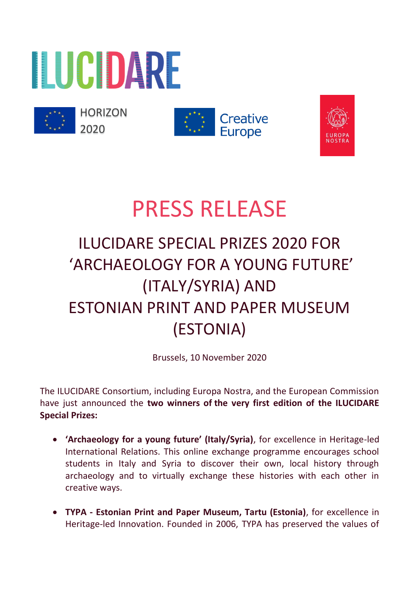



**HORIZON** 2020





# PRESS RELEASE

# ILUCIDARE SPECIAL PRIZES 2020 FOR 'ARCHAEOLOGY FOR A YOUNG FUTURE' (ITALY/SYRIA) AND ESTONIAN PRINT AND PAPER MUSEUM (ESTONIA)

Brussels, 10 November 2020

The ILUCIDARE Consortium, including Europa Nostra, and the European Commission have just announced the **two winners of the very first edition of the ILUCIDARE Special Prizes:**

- **'Archaeology for a young future' (Italy/Syria)**, for excellence in Heritage-led International Relations. This online exchange programme encourages school students in Italy and Syria to discover their own, local history through archaeology and to virtually exchange these histories with each other in creative ways.
- **TYPA - Estonian Print and Paper Museum, Tartu (Estonia)**, for excellence in Heritage-led Innovation. Founded in 2006, TYPA has preserved the values of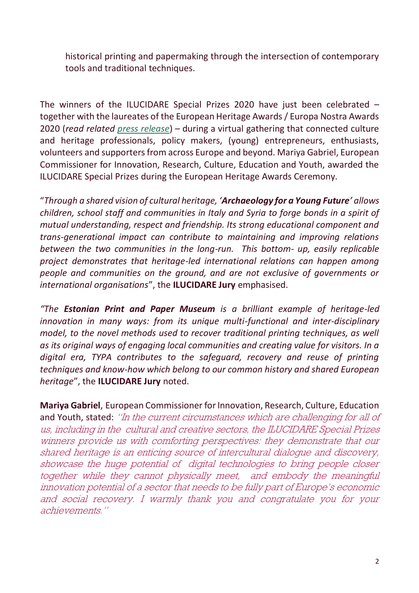historical printing and papermaking through the intersection of contemporary tools and traditional techniques.

The winners of the ILUCIDARE Special Prizes 2020 have just been celebrated – together with the laureates of the European Heritage Awards / Europa Nostra Awards 2020 (*read related [press release](https://www.europanostra.org/european-commission-and-europa-nostra-announce-europe-top-heritage-award-winners-2020/)*) – during a virtual gathering that connected culture and heritage professionals, policy makers, (young) entrepreneurs, enthusiasts, volunteers and supporters from across Europe and beyond. Mariya Gabriel, European Commissioner for Innovation, Research, Culture, Education and Youth, awarded the ILUCIDARE Special Prizes during the European Heritage Awards Ceremony.

"*Through a shared vision of cultural heritage, 'Archaeology for a Young Future' allows children, school staff and communities in Italy and Syria to forge bonds in a spirit of mutual understanding, respect and friendship. Its strong educational component and trans-generational impact can contribute to maintaining and improving relations between the two communities in the long-run. This bottom- up, easily replicable project demonstrates that heritage-led international relations can happen among people and communities on the ground, and are not exclusive of governments or international organisations*", the **ILUCIDARE Jury** emphasised.

*"The Estonian Print and Paper Museum is a brilliant example of heritage-led innovation in many ways: from its unique multi-functional and inter-disciplinary model, to the novel methods used to recover traditional printing techniques, as well as its original ways of engaging local communities and creating value for visitors. In a digital era, TYPA contributes to the safeguard, recovery and reuse of printing techniques and know-how which belong to our common history and shared European heritage*", the **ILUCIDARE Jury** noted.

**Mariya Gabriel**, European Commissioner for Innovation, Research, Culture, Education and Youth, stated: "In the current circumstances which are challenging for all of us, including in the cultural and creative sectors, the ILUCIDARE Special Prizes winners provide us with comforting perspectives: they demonstrate that our shared heritage is an enticing source of intercultural dialogue and discovery, showcase the huge potential of digital technologies to bring people closer together while they cannot physically meet, and embody the meaningful innovation potential of a sector that needs to be fully part of Europe's economic and social recovery. I warmly thank you and congratulate you for your achievements."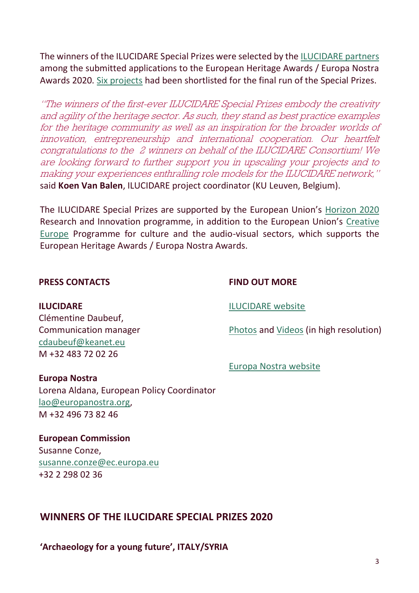The winners of the ILUCIDARE Special Prizes were selected by th[e ILUCIDARE partners](https://ilucidare.eu/about/partners) among the submitted applications to the European Heritage Awards / Europa Nostra Awards 2020. [Six projects](https://ilucidare.eu/news/discover-6-projects-shortlisted-ilucidare-special-prizes-2020) had been shortlisted for the final run of the Special Prizes.

"The winners of the first-ever ILUCIDARE Special Prizes embody the creativity and agility of the heritage sector. As such, they stand as best practice examples for the heritage community as well as an inspiration for the broader worlds of innovation, entrepreneurship and international cooperation. Our heartfelt congratulations to the 2 winners on behalf of the ILUCIDARE Consortium! We are looking forward to further support you in upscaling your projects and to making your experiences enthralling role models for the ILUCIDARE network," said **Koen Van Balen**, ILUCIDARE project coordinator (KU Leuven, Belgium).

The ILUCIDARE Special Prizes are supported by the European Union's [Horizon 2020](https://ec.europa.eu/programmes/horizon2020/en/what-horizon-2020) Research and Innovation programme, in addition to the European Union's [Creative](https://ec.europa.eu/programmes/creative-europe/node_en)  [Europe](https://ec.europa.eu/programmes/creative-europe/node_en) Programme for culture and the audio-visual sectors, which supports the European Heritage Awards / Europa Nostra Awards.

#### **PRESS CONTACTS**

#### **FIND OUT MORE**

**ILUCIDARE**

Clémentine Daubeuf, Communication manager [cdaubeuf@keanet.eu](mailto:cdaubeuf@keanet.eu) M +32 483 72 02 26

[ILUCIDARE website](https://ilucidare.eu/news/discover-6-projects-shortlisted-ilucidare-special-prizes-2020)

[Photos](https://www.flickr.com/photos/europanostra/albums/72157716737200767) and [Videos](https://www.youtube.com/playlist?list=PLNc26k4M0SlNBZUfPRiwLxMwLWl2bEhO3) (in high resolution)

[Europa Nostra website](https://www.europanostra.org/)

#### **Europa Nostra**

Lorena Aldana, European Policy Coordinator [lao@europanostra.org,](mailto:lao@europanostra.org) M +32 496 73 82 46

**European Commission** Susanne Conze, [susanne.conze@ec.europa.eu](mailto:susanne.conze@ec.europa.eu) +32 2 298 02 36

## **WINNERS OF THE ILUCIDARE SPECIAL PRIZES 2020**

**'Archaeology for a young future', ITALY/SYRIA**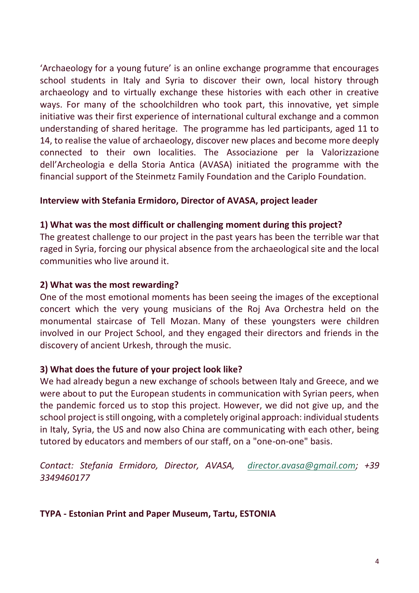'Archaeology for a young future' is an online exchange programme that encourages school students in Italy and Syria to discover their own, local history through archaeology and to virtually exchange these histories with each other in creative ways. For many of the schoolchildren who took part, this innovative, yet simple initiative was their first experience of international cultural exchange and a common understanding of shared heritage. The programme has led participants, aged 11 to 14, to realise the value of archaeology, discover new places and become more deeply connected to their own localities. The Associazione per la Valorizzazione dell'Archeologia e della Storia Antica (AVASA) initiated the programme with the financial support of the Steinmetz Family Foundation and the Cariplo Foundation.

#### **Interview with Stefania Ermidoro, Director of AVASA, project leader**

#### **1) What was the most difficult or challenging moment during this project?**

The greatest challenge to our project in the past years has been the terrible war that raged in Syria, forcing our physical absence from the archaeological site and the local communities who live around it.

#### **2) What was the most rewarding?**

One of the most emotional moments has been seeing the images of the exceptional concert which the very young musicians of the Roj Ava Orchestra held on the monumental staircase of Tell Mozan. Many of these youngsters were children involved in our Project School, and they engaged their directors and friends in the discovery of ancient Urkesh, through the music.

#### **3) What does the future of your project look like?**

We had already begun a new exchange of schools between Italy and Greece, and we were about to put the European students in communication with Syrian peers, when the pandemic forced us to stop this project. However, we did not give up, and the school project is still ongoing, with a completely original approach: individual students in Italy, Syria, the US and now also China are communicating with each other, being tutored by educators and members of our staff, on a "one-on-one" basis.

*Contact: Stefania Ermidoro, Director, AVASA, [director.avasa@gmail.com;](mailto:director.avasa@gmail.com) +39 3349460177*

#### **TYPA - Estonian Print and Paper Museum, Tartu, ESTONIA**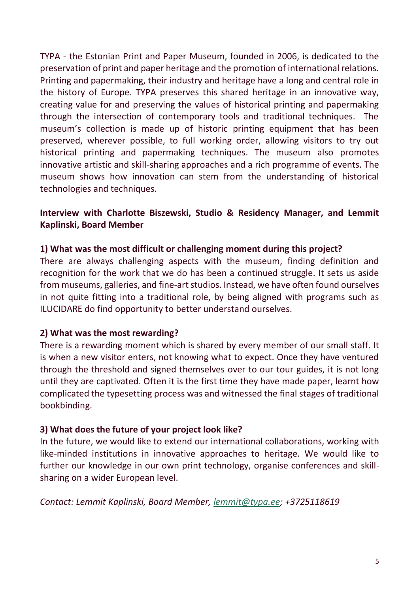TYPA - the Estonian Print and Paper Museum, founded in 2006, is dedicated to the preservation of print and paper heritage and the promotion of international relations. Printing and papermaking, their industry and heritage have a long and central role in the history of Europe. TYPA preserves this shared heritage in an innovative way, creating value for and preserving the values of historical printing and papermaking through the intersection of contemporary tools and traditional techniques. The museum's collection is made up of historic printing equipment that has been preserved, wherever possible, to full working order, allowing visitors to try out historical printing and papermaking techniques. The museum also promotes innovative artistic and skill-sharing approaches and a rich programme of events. The museum shows how innovation can stem from the understanding of historical technologies and techniques.

### **Interview with Charlotte Biszewski, Studio & Residency Manager, and Lemmit Kaplinski, Board Member**

#### **1) What was the most difficult or challenging moment during this project?**

There are always challenging aspects with the museum, finding definition and recognition for the work that we do has been a continued struggle. It sets us aside from museums, galleries, and fine-art studios. Instead, we have often found ourselves in not quite fitting into a traditional role, by being aligned with programs such as ILUCIDARE do find opportunity to better understand ourselves.

#### **2) What was the most rewarding?**

There is a rewarding moment which is shared by every member of our small staff. It is when a new visitor enters, not knowing what to expect. Once they have ventured through the threshold and signed themselves over to our tour guides, it is not long until they are captivated. Often it is the first time they have made paper, learnt how complicated the typesetting process was and witnessed the final stages of traditional bookbinding.

#### **3) What does the future of your project look like?**

In the future, we would like to extend our international collaborations, working with like-minded institutions in innovative approaches to heritage. We would like to further our knowledge in our own print technology, organise conferences and skillsharing on a wider European level.

*Contact: Lemmit Kaplinski, Board Member, [lemmit@typa.ee;](mailto:lemmit@typa.ee) +3725118619*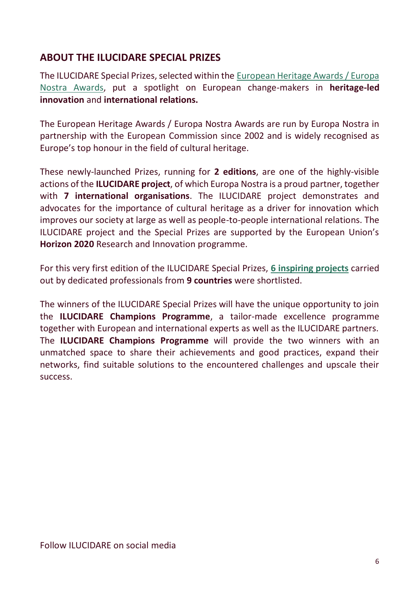# **ABOUT THE ILUCIDARE SPECIAL PRIZES**

The ILUCIDARE Special Prizes, selected within the [European Heritage Awards / Europa](http://www.europeanheritageawards.eu/)  [Nostra Awards,](http://www.europeanheritageawards.eu/) put a spotlight on European change-makers in **heritage-led innovation** and **international relations.** 

The European Heritage Awards / Europa Nostra Awards are run by Europa Nostra in partnership with the European Commission since 2002 and is widely recognised as Europe's top honour in the field of cultural heritage.

These newly-launched Prizes, running for **2 editions**, are one of the highly-visible actions of the **ILUCIDARE project**, of which Europa Nostra is a proud partner, together with **7 international organisations**. The ILUCIDARE project demonstrates and advocates for the importance of cultural heritage as a driver for innovation which improves our society at large as well as people-to-people international relations. The ILUCIDARE project and the Special Prizes are supported by the European Union's **Horizon 2020** Research and Innovation programme.

For this very first edition of the ILUCIDARE Special Prizes, **[6 inspiring projects](https://ilucidare.eu/index.php/news/discover-6-projects-shortlisted-ilucidare-special-prizes-2020https:/ilucidare.eu/index.php/news/discover-6-projects-shortlisted-ilucidare-special-prizes-2020)** carried out by dedicated professionals from **9 countries** were shortlisted.

The winners of the ILUCIDARE Special Prizes will have the unique opportunity to join the **ILUCIDARE Champions Programme**, a tailor-made excellence programme together with European and international experts as well as the ILUCIDARE partners. The **ILUCIDARE Champions Programme** will provide the two winners with an unmatched space to share their achievements and good practices, expand their networks, find suitable solutions to the encountered challenges and upscale their success.